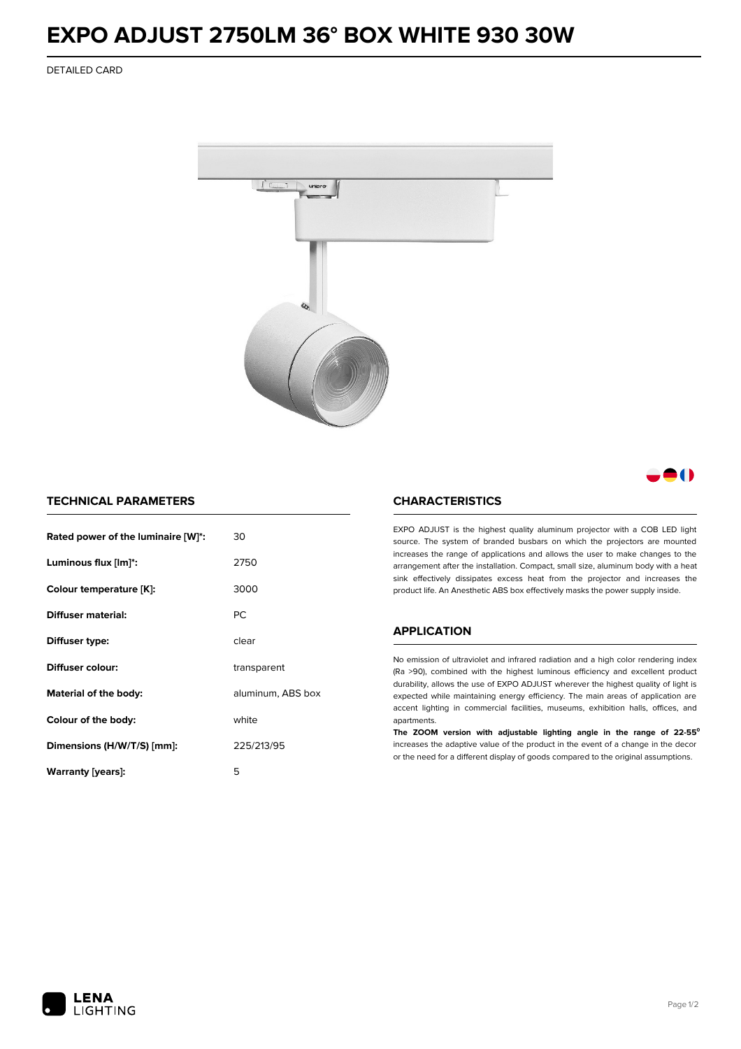## **EXPO ADJUST 2750LM 36° BOX WHITE 930 30W**

DETAILED CARD



M

## **TECHNICAL PARAMETERS**

| Rated power of the luminaire [W]*: | 30                |
|------------------------------------|-------------------|
| Luminous flux [lm]*:               | 2750              |
| Colour temperature [K]:            | 3000              |
| Diffuser material:                 | <b>PC</b>         |
| Diffuser type:                     | clear             |
| Diffuser colour:                   | transparent       |
| Material of the body:              | aluminum, ABS box |
| Colour of the body:                | white             |
| Dimensions (H/W/T/S) [mm]:         | 225/213/95        |
| Warranty (years):                  | 5                 |

#### **CHARACTERISTICS**

EXPO ADJUST is the highest quality aluminum projector with a COB LED light source. The system of branded busbars on which the projectors are mounted increases the range of applications and allows the user to make changes to the arrangement after the installation. Compact, small size, aluminum body with a heat sink effectively dissipates excess heat from the projector and increases the product life. An Anesthetic ABS box effectively masks the power supply inside.

#### **APPLICATION**

No emission of ultraviolet and infrared radiation and a high color rendering index (Ra >90), combined with the highest luminous efficiency and excellent product durability, allows the use of EXPO ADJUST wherever the highest quality of light is expected while maintaining energy efficiency. The main areas of application are accent lighting in commercial facilities, museums, exhibition halls, offices, and apartments.

**The ZOOM version with adjustable lighting angle in the range of 22-55⁰** increases the adaptive value of the product in the event of a change in the decor or the need for a different display of goods compared to the original assumptions.